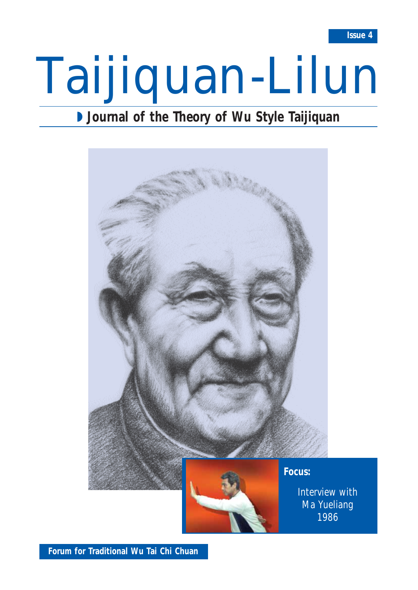# Taijiquan-Lilun

## ◗ **Journal of the Theory of Wu Style Taijiquan**



**Forum for Traditional Wu Tai Chi Chuan**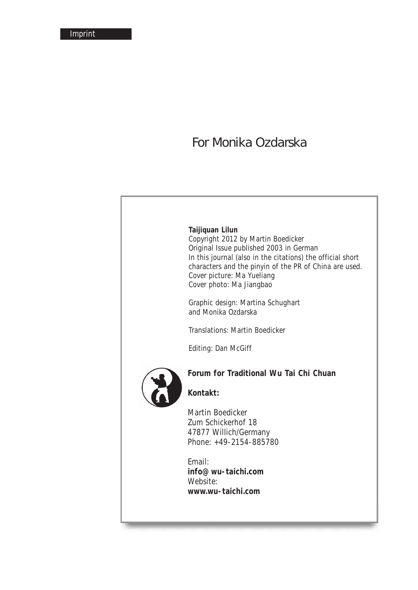## *For Monika Ozdarska*

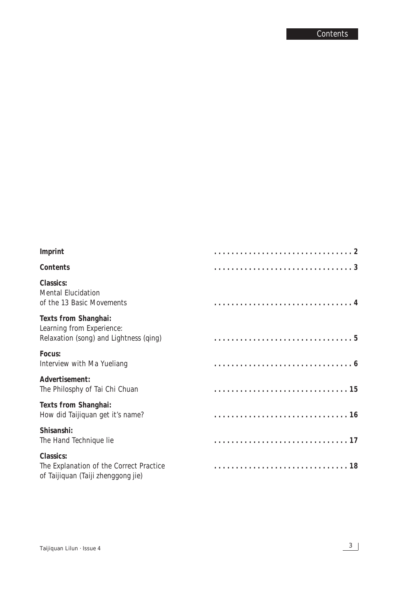| Imprint                                                                                     |  |
|---------------------------------------------------------------------------------------------|--|
| Contents                                                                                    |  |
| Classics:<br>Mental Elucidation<br>of the 13 Basic Movements                                |  |
| Texts from Shanghai:<br>Learning from Experience:<br>Relaxation (song) and Lightness (qing) |  |
| Focus:<br>Interview with Ma Yueliang                                                        |  |
| Advertisement:<br>The Philosphy of Tai Chi Chuan                                            |  |
| Texts from Shanghai:<br>How did Taijiquan get it's name?                                    |  |
| Shisanshi:<br>The Hand Technique lie                                                        |  |
| Classics:<br>The Explanation of the Correct Practice<br>of Taijiquan (Taiji zhenggong jie)  |  |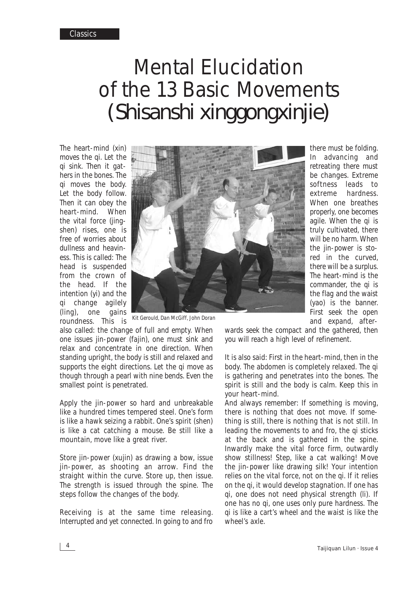# Mental Elucidation of the 13 Basic Movements *(Shisanshi xinggongxinjie)*

The heart-mind (*xin*) moves the *qi*. Let the *qi* sink. Then it gathers in the bones. The *qi* moves the body. Let the body follow. Then it can obey the heart-mind. When the vital force (*jingshen*) rises, one is free of worries about dullness and heaviness. This is called: The head is suspended from the crown of the head. If the intention (*yi*) and the *qi* change agilely (*ling*), one gains roundness. This is



*Kit Gerould, Dan McGiff, John Doran*

also called: the change of full and empty. When one issues *jin*-power (*fajin*), one must sink and relax and concentrate in one direction. When standing upright, the body is still and relaxed and supports the eight directions. Let the *qi* move as though through a pearl with nine bends. Even the smallest point is penetrated.

Apply the *jin*-power so hard and unbreakable like a hundred times tempered steel. One's form is like a hawk seizing a rabbit. One's spirit (*shen*) is like a cat catching a mouse. Be still like a mountain, move like a great river.

Store *jin*-power (*xujin*) as drawing a bow, issue *jin*-power, as shooting an arrow. Find the straight within the curve. Store up, then issue. The strength is issued through the spine. The steps follow the changes of the body.

Receiving is at the same time releasing. Interrupted and yet connected. In going to and fro

there must be folding. In advancing and retreating there must be changes. Extreme softness leads to extreme hardness. When one breathes properly, one becomes agile. When the *qi* is truly cultivated, there will be no harm. When the *jin*-power is stored in the curved, there will be a surplus. The heart-mind is the commander, the *qi* is the flag and the waist (*yao*) is the banner. First seek the open and expand, after-

wards seek the compact and the gathered, then you will reach a high level of refinement.

It is also said: First in the heart-mind, then in the body. The abdomen is completely relaxed. The *qi* is gathering and penetrates into the bones. The spirit is still and the body is calm. Keep this in your heart-mind.

And always remember: If something is moving, there is nothing that does not move. If something is still, there is nothing that is not still. In leading the movements to and fro, the *qi* sticks at the back and is gathered in the spine. Inwardly make the vital force firm, outwardly show stillness! Step, like a cat walking! Move the *jin*-power like drawing silk! Your intention relies on the vital force, not on the *qi*. If it relies on the *qi*, it would develop stagnation. If one has *qi*, one does not need physical strength (*li*). If one has no *qi*, one uses only pure hardness. The *qi* is like a cart's wheel and the waist is like the wheel's axle.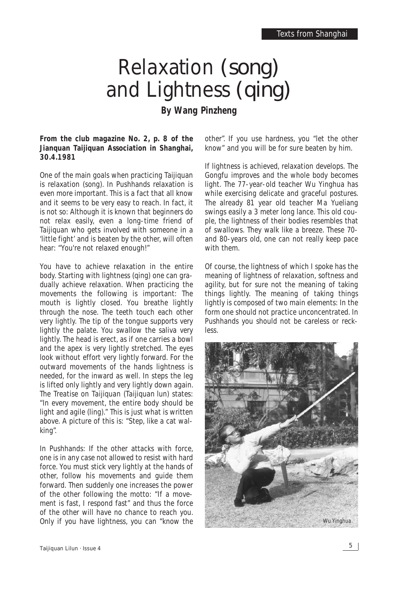## Relaxation *(song)* and Lightness *(qing)* **By Wang Pinzheng**

**From the club magazine No. 2, p. 8 of the Jianquan Taijiquan Association in Shanghai, 30.4.1981**

One of the main goals when practicing Taijiquan is relaxation (*song*). In Pushhands relaxation is even more important. This is a fact that all know and it seems to be very easy to reach. In fact, it is not so: Although it is known that beginners do not relax easily, even a long-time friend of Taijiquan who gets involved with someone in a 'little fight' and is beaten by the other, will often hear: "You're not relaxed enough!"

You have to achieve relaxation in the entire body. Starting with lightness (*qing*) one can gradually achieve relaxation. When practicing the movements the following is important: The mouth is lightly closed. You breathe lightly through the nose. The teeth touch each other very lightly. The tip of the tongue supports very lightly the palate. You swallow the saliva very lightly. The head is erect, as if one carries a bowl and the apex is very lightly stretched. The eyes look without effort very lightly forward. For the outward movements of the hands lightness is needed, for the inward as well. In steps the leg is lifted only lightly and very lightly down again. The *Treatise on Taijiquan* (*Taijiquan lun*) states: "In every movement, the entire body should be light and agile (*ling*)." This is just what is written above. A picture of this is: "Step, like a cat walking".

In Pushhands: If the other attacks with force, one is in any case not allowed to resist with hard force. You must stick very lightly at the hands of other, follow his movements and guide them forward. Then suddenly one increases the power of the other following the motto: "If a movement is fast, I respond fast" and thus the force of the other will have no chance to reach you. Only if you have lightness, you can "know the

other". If you use hardness, you "let the other know" and you will be for sure beaten by him.

If lightness is achieved, relaxation develops. The Gongfu improves and the whole body becomes light. The 77-year-old teacher Wu Yinghua has while exercising delicate and graceful postures. The already 81 year old teacher Ma Yueliang swings easily a 3 meter long lance. This old couple, the lightness of their bodies resembles that of swallows. They walk like a breeze. These 70 and 80-years old, one can not really keep pace with them.

Of course, the lightness of which I spoke has the meaning of lightness of relaxation, softness and agility, but for sure not the meaning of taking things lightly. The meaning of taking things lightly is composed of two main elements: In the form one should not practice unconcentrated. In Pushhands you should not be careless or reckless.

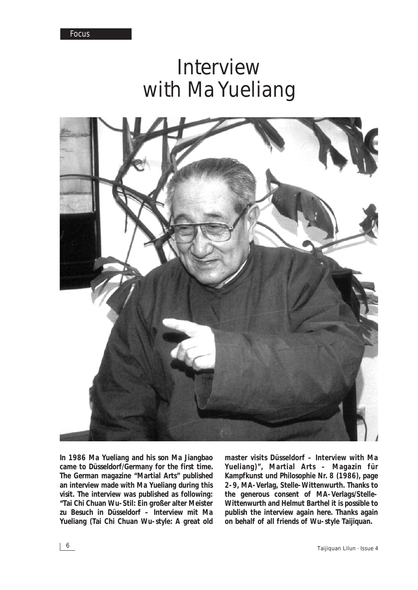## Interview with Ma Yueliang



**In 1986 Ma Yueliang and his son Ma Jiangbao came to Düsseldorf/Germany for the first time. The German magazine "Martial Arts" published an interview made with Ma Yueliang during this visit. The interview was published as following: "Tai Chi Chuan Wu-Stil: Ein großer alter Meister zu Besuch in Düsseldorf – Interview mit Ma Yueliang (Tai Chi Chuan Wu-style: A great old** **master visits Düsseldorf – Interview with Ma Yueliang)", Martial Arts – Magazin für Kampfkunst und Philosophie Nr. 8 (1986), page 2-9, MA-Verlag, Stelle-Wittenwurth. Thanks to the generous consent of MA-Verlags/Stelle-Wittenwurth and Helmut Barthel it is possible to publish the interview again here. Thanks again on behalf of all friends of Wu-style Taijiquan.**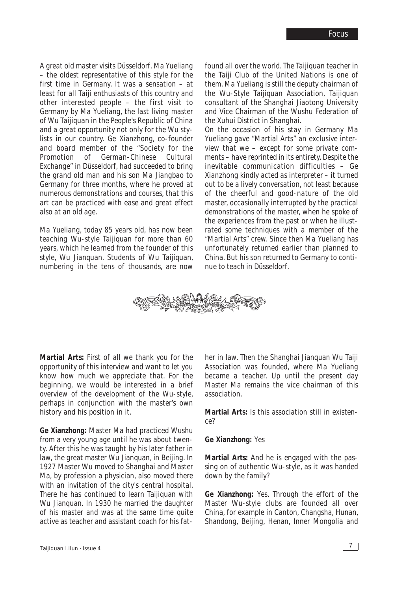*A great old master visits Düsseldorf. Ma Yueliang – the oldest representative of this style for the first time in Germany. It was a sensation – at least for all Taiji enthusiasts of this country and other interested people – the first visit to Germany by Ma Yueliang, the last living master of Wu Taijiquan in the People's Republic of China and a great opportunity not only for the Wu stylists in our country. Ge Xianzhong, co-founder and board member of the "Society for the Promotion of German-Chinese Cultural Exchange" in Düsseldorf, had succeeded to bring the grand old man and his son Ma Jiangbao to Germany for three months, where he proved at numerous demonstrations and courses, that this art can be practiced with ease and great effect also at an old age.*

*Ma Yueliang, today 85 years old, has now been teaching Wu-style Taijiquan for more than 60 years, which he learned from the founder of this style, Wu Jianquan. Students of Wu Taijiquan, numbering in the tens of thousands, are now*

*found all over the world. The Taijiquan teacher in the Taiji Club of the United Nations is one of them. Ma Yueliang is still the deputy chairman of the Wu-Style Taijiquan Association, Taijiquan consultant of the Shanghai Jiaotong University and Vice Chairman of the Wushu Federation of the Xuhui District in Shanghai.* 

*On the occasion of his stay in Germany Ma Yueliang gave "Martial Arts" an exclusive interview that we – except for some private comments – have reprinted in its entirety. Despite the inevitable communication difficulties – Ge Xianzhong kindly acted as interpreter – it turned out to be a lively conversation, not least because of the cheerful and good*-*nature of the old master, occasionally interrupted by the practical demonstrations of the master, when he spoke of the experiences from the past or when he illustrated some techniques with a member of the "Martial Arts" crew. Since then Ma Yueliang has unfortunately returned earlier than planned to China. But his son returned to Germany to continue to teach in Düsseldorf.*



**Martial Arts:** First of all we thank you for the opportunity of this interview and want to let you know how much we appreciate that. For the beginning, we would be interested in a brief overview of the development of the Wu-style, perhaps in conjunction with the master's own history and his position in it.

**Ge Xianzhong:** Master Ma had practiced Wushu from a very young age until he was about twenty. After this he was taught by his later father in law, the great master Wu Jianquan, in Beijing. In 1927 Master Wu moved to Shanghai and Master Ma, by profession a physician, also moved there with an invitation of the city's central hospital. There he has continued to learn Taijiquan with Wu Jianquan. In 1930 he married the daughter of his master and was at the same time quite active as teacher and assistant coach for his father in law. Then the Shanghai Jianquan Wu Taiji Association was founded, where Ma Yueliang became a teacher. Up until the present day Master Ma remains the vice chairman of this association.

**Martial Arts:** Is this association still in existence?

**Ge Xianzhong:** Yes

**Martial Arts:** And he is engaged with the passing on of authentic Wu-style, as it was handed down by the family?

**Ge Xianzhong:** Yes. Through the effort of the Master Wu-style clubs are founded all over China, for example in Canton, Changsha, Hunan, Shandong, Beijing, Henan, Inner Mongolia and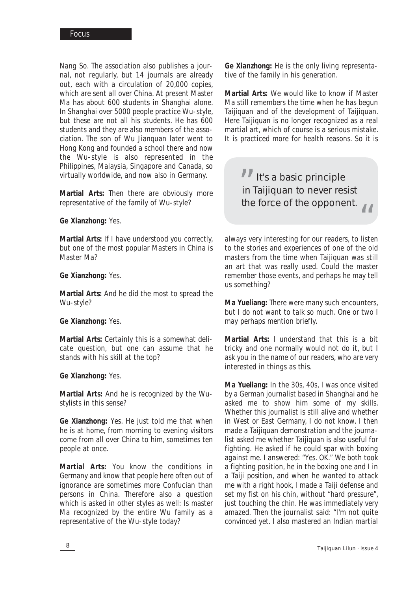Nang So. The association also publishes a journal, not regularly, but 14 journals are already out, each with a circulation of 20,000 copies, which are sent all over China. At present Master Ma has about 600 students in Shanghai alone. In Shanghai over 5000 people practice Wu-style, but these are not all his students. He has 600 students and they are also members of the association. The son of Wu Jianquan later went to Hong Kong and founded a school there and now the Wu-style is also represented in the Philippines, Malaysia, Singapore and Canada, so virtually worldwide, and now also in Germany.

**Martial Arts:** Then there are obviously more representative of the family of Wu-style?

#### **Ge Xianzhong:** Yes.

**Martial Arts:** If I have understood you correctly, but one of the most popular Masters in China is Master Ma?

#### **Ge Xianzhong:** Yes.

**Martial Arts:** And he did the most to spread the Wu-style?

#### **Ge Xianzhong:** Yes.

**Martial Arts:** Certainly this is a somewhat delicate question, but one can assume that he stands with his skill at the top?

#### **Ge Xianzhong:** Yes.

**Martial Arts:** And he is recognized by the Wustylists in this sense?

**Ge Xianzhong:** Yes. He just told me that when he is at home, from morning to evening visitors come from all over China to him, sometimes ten people at once.

**Martial Arts:** You know the conditions in Germany and know that people here often out of ignorance are sometimes more Confucian than persons in China. Therefore also a question which is asked in other styles as well: Is master Ma recognized by the entire Wu family as a representative of the Wu-style today?

**Ge Xianzhong:** He is the only living representative of the family in his generation.

**Martial Arts:** We would like to know if Master Ma still remembers the time when he has begun Taijiquan and of the development of Taijiquan. Here Taijiquan is no longer recognized as a real martial art, which of course is a serious mistake. It is practiced more for health reasons. So it is

It's a basic principle in Taijiquan to never resist the force of the opponent. "<br>"

Ine force of the opponent.<br>
always very interesting for our readers, to listen to the stories and experiences of one of the old masters from the time when Taijiquan was still an art that was really used. Could the master remember those events, and perhaps he may tell us something?

**Ma Yueliang:** There were many such encounters, but I do not want to talk so much. One or two I may perhaps mention briefly.

**Martial Arts:** I understand that this is a bit tricky and one normally would not do it, but I ask you in the name of our readers, who are very interested in things as this.

**Ma Yueliang:** In the 30s, 40s, I was once visited by a German journalist based in Shanghai and he asked me to show him some of my skills. Whether this journalist is still alive and whether in West or East Germany, I do not know. I then made a Taijiquan demonstration and the journalist asked me whether Taijiquan is also useful for fighting. He asked if he could spar with boxing against me. I answered: "Yes. OK." We both took a fighting position, he in the boxing one and I in a Taiji position, and when he wanted to attack me with a right hook, I made a Taiji defense and set my fist on his chin, without "hard pressure", just touching the chin. He was immediately very amazed. Then the journalist said: "I'm not quite convinced yet. I also mastered an Indian martial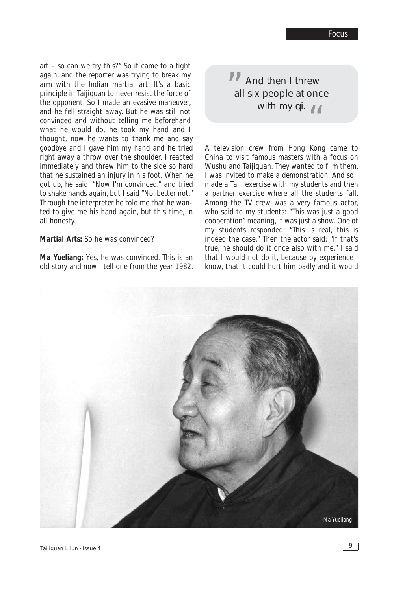art – so can we try this?" So it came to a fight again, and the reporter was trying to break my arm with the Indian martial art. It's a basic principle in Taijiquan to never resist the force of the opponent. So I made an evasive maneuver, and he fell straight away. But he was still not convinced and without telling me beforehand what he would do, he took my hand and I thought, now he wants to thank me and say goodbye and I gave him my hand and he tried right away a throw over the shoulder. I reacted immediately and threw him to the side so hard that he sustained an injury in his foot. When he got up, he said: "Now I'm convinced." and tried to shake hands again, but I said "No, better not." Through the interpreter he told me that he wanted to give me his hand again, but this time, in all honesty.

#### **Martial Arts:** So he was convinced?

**Ma Yueliang:** Yes, he was convinced. This is an old story and now I tell one from the year 1982.

And then I threw all six people at once with my  $qi$ .  $66$ "

A television crew from Hong Kong came to China to visit famous masters with a focus on Wushu and Taijiquan. They wanted to film them. I was invited to make a demonstration. And so I made a Taiji exercise with my students and then a partner exercise where all the students fall. Among the TV crew was a very famous actor, who said to my students: "This was just a good cooperation" meaning, it was just a show. One of my students responded: "This is real, this is indeed the case." Then the actor said: "If that's true, he should do it once also with me." I said that I would not do it, because by experience I know, that it could hurt him badly and it would

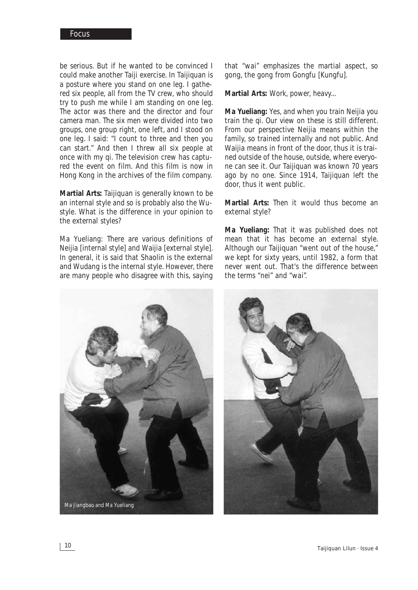be serious. But if he wanted to be convinced I could make another Taiji exercise. In Taijiquan is a posture where you stand on one leg. I gathered six people, all from the TV crew, who should try to push me while I am standing on one leg. The actor was there and the director and four camera man. The six men were divided into two groups, one group right, one left, and I stood on one leg. I said: "I count to three and then you can start." And then I threw all six people at once with my *qi*. The television crew has captured the event on film. And this film is now in Hong Kong in the archives of the film company.

**Martial Arts:** Taijiquan is generally known to be an internal style and so is probably also the Wustyle. What is the difference in your opinion to the external styles?

Ma Yueliang: There are various definitions of Neijia [internal style] and Waijia [external style]. In general, it is said that Shaolin is the external and Wudang is the internal style. However, there are many people who disagree with this, saying

that "*wai*" emphasizes the martial aspect, so gong, the gong from Gongfu [Kungfu].

**Martial Arts:** Work, power, heavy...

**Ma Yueliang:** Yes, and when you train Neijia you train the *qi*. Our view on these is still different. From our perspective Neijia means within the family, so trained internally and not public. And Waijia means in front of the door, thus it is trained outside of the house, outside, where everyone can see it. Our Taijiquan was known 70 years ago by no one. Since 1914, Taijiquan left the door, thus it went public.

**Martial Arts:** Then it would thus become an external style?

**Ma Yueliang:** That it was published does not mean that it has become an external style. Although our Taijiquan "went out of the house," we kept for sixty years, until 1982, a form that never went out. That's the difference between the terms "*nei*" and "*wai*".



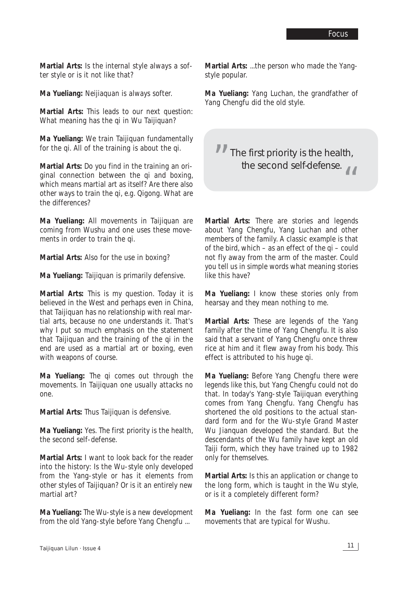**Martial Arts:** Is the internal style always a softer style or is it not like that?

**Ma Yueliang:** Neijiaquan is always softer.

**Martial Arts:** This leads to our next question: What meaning has the *qi* in Wu Taijiquan?

**Ma Yueliang:** We train Taijiquan fundamentally for the *qi*. All of the training is about the *qi*.

**Martial Arts:** Do you find in the training an original connection between the *qi* and boxing, which means martial art as itself? Are there also other ways to train the *qi*, e.g. Qigong. What are the differences?

**Ma Yueliang:** All movements in Taijiquan are coming from Wushu and one uses these movements in order to train the *qi*.

**Martial Arts:** Also for the use in boxing?

**Ma Yueliang:** Taijiquan is primarily defensive.

**Martial Arts:** This is my question. Today it is believed in the West and perhaps even in China, that Taijiquan has no relationship with real martial arts, because no one understands it. That's why I put so much emphasis on the statement that Taijiquan and the training of the *qi* in the end are used as a martial art or boxing, even with weapons of course.

**Ma Yueliang:** The *qi* comes out through the movements. In Taijiquan one usually attacks no one.

**Martial Arts:** Thus Taijiquan is defensive.

**Ma Yueliang:** Yes. The first priority is the health, the second self-defense.

**Martial Arts:** I want to look back for the reader into the history: Is the Wu-style only developed from the Yang-style or has it elements from other styles of Taijiquan? Or is it an entirely new martial art?

**Ma Yueliang:** The Wu-style is a new development from the old Yang-style before Yang Chengfu ...

**Martial Arts:** ...the person who made the Yangstyle popular.

**Ma Yueliang:** Yang Luchan, the grandfather of Yang Chengfu did the old style.

**The first priority is the health,** the second self-defense.

**Martial Arts:** There are stories and legends about Yang Chengfu, Yang Luchan and other members of the family. A classic example is that of the bird, which – as an effect of the *qi* – could not fly away from the arm of the master. Could you tell us in simple words what meaning stories like this have?

**Ma Yueliang:** I know these stories only from hearsay and they mean nothing to me.

**Martial Arts:** These are legends of the Yang family after the time of Yang Chengfu. It is also said that a servant of Yang Chengfu once threw rice at him and it flew away from his body. This effect is attributed to his huge *qi*.

**Ma Yueliang:** Before Yang Chengfu there were legends like this, but Yang Chengfu could not do that. In today's Yang-style Taijiquan everything comes from Yang Chengfu. Yang Chengfu has shortened the old positions to the actual standard form and for the Wu-style Grand Master Wu Jianquan developed the standard. But the descendants of the Wu family have kept an old Taiji form, which they have trained up to 1982 only for themselves.

**Martial Arts:** Is this an application or change to the long form, which is taught in the Wu style, or is it a completely different form?

**Ma Yueliang:** In the fast form one can see movements that are typical for Wushu.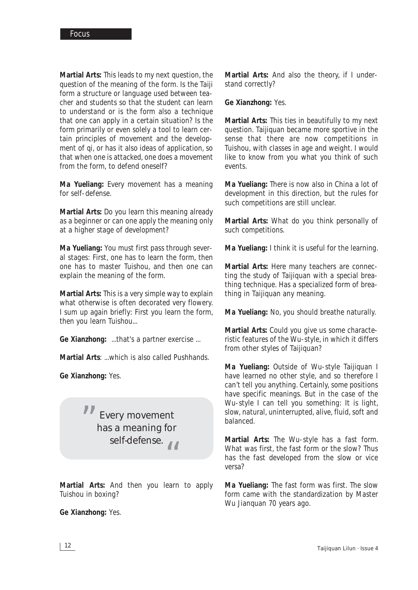**Martial Arts:** This leads to my next question, the question of the meaning of the form. Is the Taiji form a structure or language used between teacher and students so that the student can learn to understand or is the form also a technique that one can apply in a certain situation? Is the form primarily or even solely a tool to learn certain principles of movement and the development of *qi*, or has it also ideas of application, so that when one is attacked, one does a movement from the form, to defend oneself?

**Ma Yueliang:** Every movement has a meaning for self-defense.

**Martial Arts:** Do you learn this meaning already as a beginner or can one apply the meaning only at a higher stage of development?

**Ma Yueliang:** You must first pass through several stages: First, one has to learn the form, then one has to master Tuishou, and then one can explain the meaning of the form.

**Martial Arts:** This is a very simple way to explain what otherwise is often decorated very flowery. I sum up again briefly: First you learn the form, then you learn Tuishou...

**Ge Xianzhong:** ...that's a partner exercise ...

**Martial Arts**: ...which is also called Pushhands.

**Ge Xianzhong:** Yes.

Every movement has a meaning for self-defense.<br>
6 "<br>"

**Martial Arts:** And then you learn to apply Tuishou in boxing?

**Ge Xianzhong:** Yes.

**Martial Arts:** And also the theory, if I understand correctly?

**Ge Xianzhong:** Yes.

**Martial Arts:** This ties in beautifully to my next question. Taijiquan became more sportive in the sense that there are now competitions in Tuishou, with classes in age and weight. I would like to know from you what you think of such events.

**Ma Yueliang:** There is now also in China a lot of development in this direction, but the rules for such competitions are still unclear.

**Martial Arts:** What do you think personally of such competitions.

**Ma Yueliang:** I think it is useful for the learning.

**Martial Arts:** Here many teachers are connecting the study of Taijiquan with a special breathing technique. Has a specialized form of breathing in Taijiquan any meaning.

**Ma Yueliang:** No, you should breathe naturally.

**Martial Arts:** Could you give us some characteristic features of the Wu-style, in which it differs from other styles of Taijiquan?

**Ma Yueliang:** Outside of Wu-style Taijiquan I have learned no other style, and so therefore I can't tell you anything. Certainly, some positions have specific meanings. But in the case of the Wu-style I can tell you something: It is light, slow, natural, uninterrupted, alive, fluid, soft and balanced.

**Martial Arts:** The Wu-style has a fast form. What was first, the fast form or the slow? Thus has the fast developed from the slow or vice versa?

**Ma Yueliang:** The fast form was first. The slow form came with the standardization by Master Wu Jianquan 70 years ago.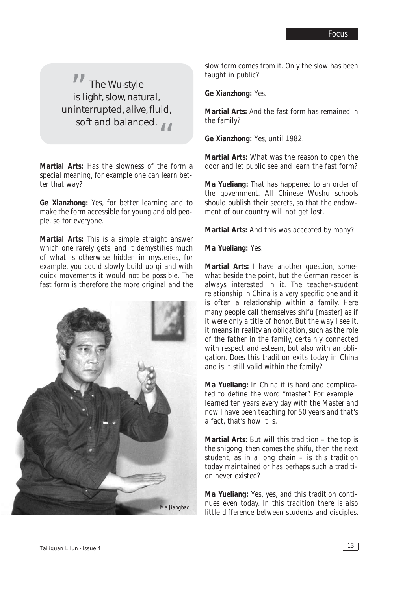The Wu-style is light, slow, natural, uninterrupted, alive, fluid, soft and balanced. "<br>" "

**Martial Arts:** Has the slowness of the form a special meaning, for example one can learn better that way?

**Ge Xianzhong:** Yes, for better learning and to make the form accessible for young and old people, so for everyone.

**Martial Arts:** This is a simple straight answer which one rarely gets, and it demystifies much of what is otherwise hidden in mysteries, for example, you could slowly build up *qi* and with quick movements it would not be possible. The fast form is therefore the more original and the



slow form comes from it. Only the slow has been taught in public?

**Ge Xianzhong:** Yes.

**Martial Arts:** And the fast form has remained in the family?

**Ge Xianzhong:** Yes, until 1982.

**Martial Arts:** What was the reason to open the door and let public see and learn the fast form?

**Ma Yueliang:** That has happened to an order of the government. All Chinese Wushu schools should publish their secrets, so that the endowment of our country will not get lost.

**Martial Arts:** And this was accepted by many?

**Ma Yueliang:** Yes.

**Martial Arts:** I have another question, somewhat beside the point, but the German reader is always interested in it. The teacher-student relationship in China is a very specific one and it is often a relationship within a family. Here many people call themselves shifu [master] as if it were only a title of honor. But the way I see it, it means in reality an obligation, such as the role of the father in the family, certainly connected with respect and esteem, but also with an obligation. Does this tradition exits today in China and is it still valid within the family?

**Ma Yueliang:** In China it is hard and complicated to define the word "master". For example I learned ten years every day with the Master and now I have been teaching for 50 years and that's a fact, that's how it is.

**Martial Arts:** But will this tradition – the top is the shigong, then comes the shifu, then the next student, as in a long chain – is this tradition today maintained or has perhaps such a tradition never existed?

**Ma Yueliang:** Yes, yes, and this tradition continues even today. In this tradition there is also little difference between students and disciples.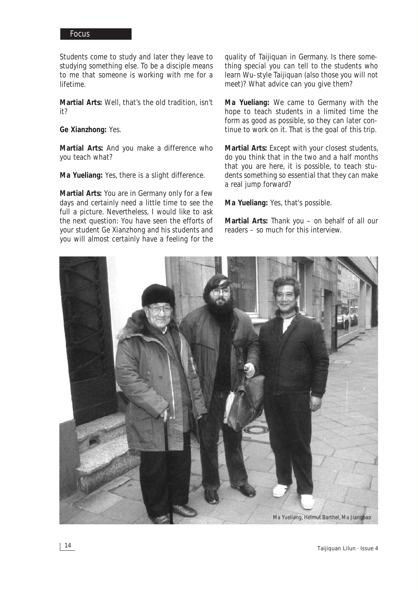Students come to study and later they leave to studying something else. To be a disciple means to me that someone is working with me for a lifetime.

**Martial Arts:** Well, that's the old tradition, isn't it?

**Ge Xianzhong:** Yes.

**Martial Arts:** And you make a difference who you teach what?

**Ma Yueliang:** Yes, there is a slight difference.

**Martial Arts:** You are in Germany only for a few days and certainly need a little time to see the full a picture. Nevertheless, I would like to ask the next question: You have seen the efforts of your student Ge Xianzhong and his students and you will almost certainly have a feeling for the

quality of Taijiquan in Germany. Is there something special you can tell to the students who learn Wu-style Taijiquan (also those you will not meet)? What advice can you give them?

**Ma Yueliang:** We came to Germany with the hope to teach students in a limited time the form as good as possible, so they can later continue to work on it. That is the goal of this trip.

**Martial Arts:** Except with your closest students, do you think that in the two and a half months that you are here, it is possible, to teach students something so essential that they can make a real jump forward?

**Ma Yueliang:** Yes, that's possible.

**Martial Arts:** Thank you – on behalf of all our readers – so much for this interview.

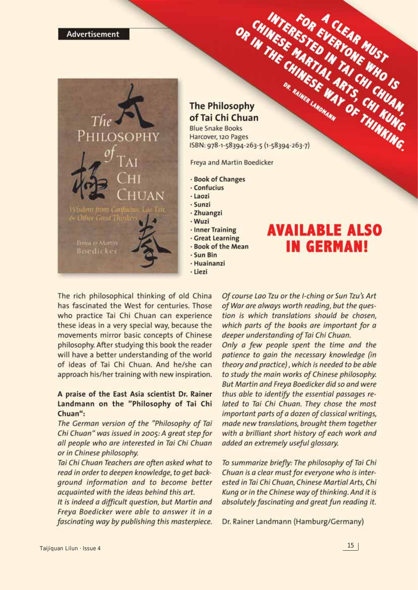

#### **The Philosophy** of Tai Chi Chuan

OR CHINESE STED OR THE CHIART OF THINKING. **Blue Snake Books** Harcover, 120 Pages ISBN: 978-1-58394-263-5 (1-58394-263-7)

Freya and Martin Boedicker

- · Book of Changes
- · Confucius
- · Laozi
- · Sunzi
- · Zhuangzi
- · Wuzi
- · Inner Training
- · Great Learning
- Book of the Mean
- · Sun Bin
- · Huainanzi
- · Liezi

## **AVAILABLE ALSO IN GERMAN!**

The rich philosophical thinking of old China has fascinated the West for centuries. Those who practice Tai Chi Chuan can experience these ideas in a very special way, because the movements mirror basic concepts of Chinese philosophy. After studying this book the reader will have a better understanding of the world of ideas of Tai Chi Chuan. And he/she can approach his/her training with new inspiration.

#### A praise of the East Asia scientist Dr. Rainer Landmann on the "Philosophy of Tai Chi Chuan":

The German version of the "Philosophy of Tai Chi Chuan" was issued in 2005: A great step for all people who are interested in Tai Chi Chuan or in Chinese philosophy.

Tai Chi Chuan Teachers are often asked what to read in order to deepen knowledge, to get background information and to become better acquainted with the ideas behind this art.

It is indeed a difficult question, but Martin and Freya Boedicker were able to answer it in a fascinating way by publishing this masterpiece.

Of course Lao Tzu or the I-ching or Sun Tzu's Art of War are always worth reading, but the question is which translations should be chosen, which parts of the books are important for a deeper understanding of Tai Chi Chuan. Only a few people spent the time and the patience to gain the necessary knowledge (in theory and practice), which is needed to be able to study the main works of Chinese philosophy. But Martin and Freya Boedicker did so and were thus able to identify the essential passages related to Tai Chi Chuan. They chose the most important parts of a dozen of classical writings, made new translations, brought them together with a brilliant short history of each work and added an extremely useful glossary.

To summarize briefly: The philosophy of Tai Chi Chuan is a clear must for everyone who is interested in Tai Chi Chuan, Chinese Martial Arts, Chi Kung or in the Chinese way of thinking. And it is absolutely fascinating and great fun reading it.

Dr. Rainer Landmann (Hamburg/Germany)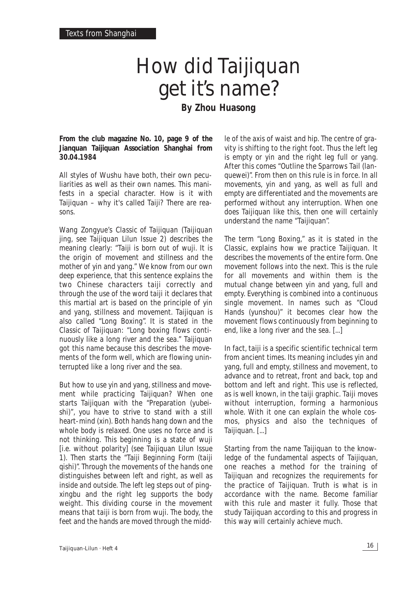## How did Taijiquan get it's name? **By Zhou Huasong**

**From the club magazine No. 10, page 9 of the Jianquan Taijiquan Association Shanghai from 30.04.1984**

All styles of Wushu have both, their own peculiarities as well as their own names. This manifests in a special character. How is it with Taijiquan – why it's called Taiji? There are reasons.

Wang Zongyue's *Classic of Taijiquan* (*Taijiquan jing*, see Taijiquan Lilun Issue 2) describes the meaning clearly: "*Taiji* is born out of *wuji*. It is the origin of movement and stillness and the mother of yin and yang." We know from our own deep experience, that this sentence explains the two Chinese characters *taiji* correctly and through the use of the word *taiji* it declares that this martial art is based on the principle of yin and yang, stillness and movement. Taijiquan is also called "Long Boxing". It is stated in the *Classic of Taijiquan*: "Long boxing flows continuously like a long river and the sea." Taijiquan got this name because this describes the movements of the form well, which are flowing uninterrupted like a long river and the sea.

But how to use yin and yang, stillness and movement while practicing Taijiquan? When one starts Taijiquan with the "Preparation (*yubeishi*)", you have to strive to stand with a still heart-mind (*xin*). Both hands hang down and the whole body is relaxed. One uses no force and is not thinking. This beginning is a state of *wuji* [i.e. without polarity] (see Taijiquan Lilun Issue 1). Then starts the "Taiji Beginning Form (*taiji qishi*)". Through the movements of the hands one distinguishes between left and right, as well as inside and outside. The left leg steps out of *pingxingbu* and the right leg supports the body weight. This dividing course in the movement means that *taiji* is born from *wuji*. The body, the feet and the hands are moved through the middle of the axis of waist and hip. The centre of gravity is shifting to the right foot. Thus the left leg is empty or yin and the right leg full or yang. After this comes "Outline the Sparrows Tail (*lanquewei*)". From then on this rule is in force. In all movements, yin and yang, as well as full and empty are differentiated and the movements are performed without any interruption. When one does Taijiquan like this, then one will certainly understand the name "Taijiquan".

The term "Long Boxing," as it is stated in the *Classic*, explains how we practice Taijiquan. It describes the movements of the entire form. One movement follows into the next. This is the rule for all movements and within them is the mutual change between yin and yang, full and empty. Everything is combined into a continuous single movement. In names such as "Cloud Hands (*yunshou*)" it becomes clear how the movement flows continuously from beginning to end, like a long river and the sea. [...]

In fact, *taiji* is a specific scientific technical term from ancient times. Its meaning includes yin and yang, full and empty, stillness and movement, to advance and to retreat, front and back, top and bottom and left and right. This use is reflected, as is well known, in the *taiji* graphic. *Taiji* moves without interruption, forming a harmonious whole. With it one can explain the whole cosmos, physics and also the techniques of Taijiquan. [...]

Starting from the name Taijiquan to the knowledge of the fundamental aspects of Taijiquan, one reaches a method for the training of Taijiquan and recognizes the requirements for the practice of Taijiquan. Truth is what is in accordance with the name. Become familiar with this rule and master it fully. Those that study Taijiquan according to this and progress in this way will certainly achieve much.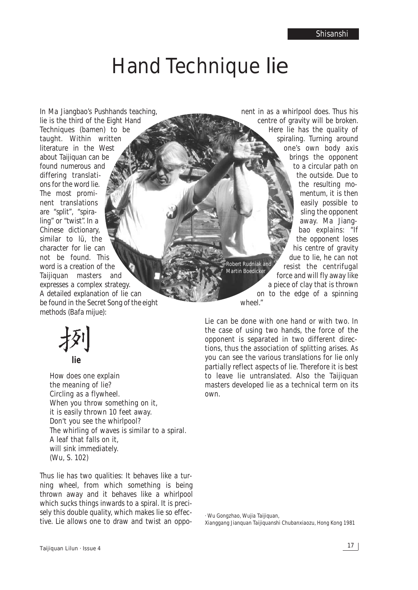# Hand Technique *lie*

In Ma Jiangbao's Pushhands teaching, *lie* is the third of the Eight Hand Techniques (*bamen*) to be taught. Within written literature in the West about Taijiquan can be found numerous and differing translations for the word *lie*. The most prominent translations are "split", "spiraling" or "twist". In a Chinese dictionary, similar to *lü*, the character for *lie* can not be found. This word is a creation of the Taijiquan masters and expresses a complex strategy. A detailed explanation of *lie* can be found in the *Secret Song of the eight methods* (*Bafa mijue*):

**lie**

How does one explain the meaning of *lie*? Circling as a flywheel. When you throw something on it. it is easily thrown 10 feet away. Don't you see the whirlpool? The whirling of waves is similar to a spiral. A leaf that falls on it, will sink immediately. (Wu, S. 102)

Thus *lie* has two qualities: It behaves like a turning wheel, from which something is being thrown away and it behaves like a whirlpool which sucks things inwards to a spiral. It is precisely this double quality, which makes *lie* so effective. *Lie* allows one to draw and twist an oppo-

nent in as a whirlpool does. Thus his centre of gravity will be broken. Here *lie* has the quality of spiraling. Turning around one's own body axis brings the opponent to a circular path on the outside. Due to the resulting momentum, it is then easily possible to sling the opponent away. Ma Jiangbao explains: "If the opponent loses his centre of gravity due to *lie*, he can not resist the centrifugal force and will fly away like a piece of clay that is thrown on to the edge of a spinning wheel." *Robert Rudniak and Martin Boedicker*

*Lie* can be done with one hand or with two. In the case of using two hands, the force of the opponent is separated in two different directions, thus the association of splitting arises. As you can see the various translations for *lie* only partially reflect aspects of *lie*. Therefore it is best to leave *lie* untranslated. Also the Taijiquan masters developed *lie* as a technical term on its own.

*· Wu Gongzhao, Wujia Taijiquan, Xianggang Jianquan Taijiquanshi Chubanxiaozu, Hong Kong 1981*